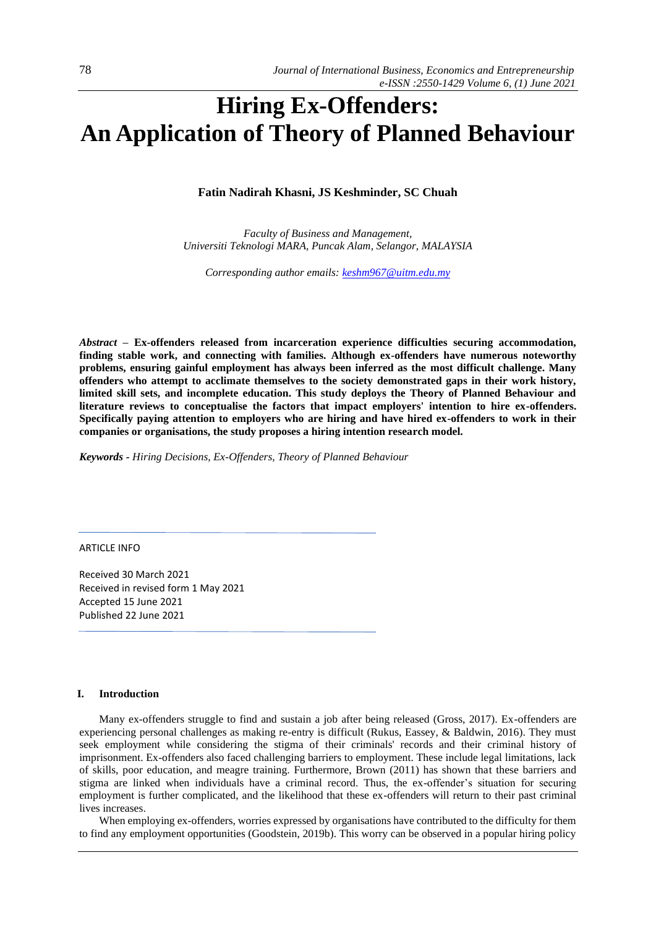# **Hiring Ex-Offenders: An Application of Theory of Planned Behaviour**

# **Fatin Nadirah Khasni, JS Keshminder, SC Chuah**

*Faculty of Business and Management, Universiti Teknologi MARA, Puncak Alam, Selangor, MALAYSIA* 

*Corresponding author emails[: keshm967@uitm.edu.my](mailto:keshm967@uitm.edu.my)*

*Abstract –* **Ex-offenders released from incarceration experience difficulties securing accommodation, finding stable work, and connecting with families. Although ex-offenders have numerous noteworthy problems, ensuring gainful employment has always been inferred as the most difficult challenge. Many offenders who attempt to acclimate themselves to the society demonstrated gaps in their work history, limited skill sets, and incomplete education. This study deploys the Theory of Planned Behaviour and literature reviews to conceptualise the factors that impact employers' intention to hire ex-offenders. Specifically paying attention to employers who are hiring and have hired ex-offenders to work in their companies or organisations, the study proposes a hiring intention research model.** 

*Keywords - Hiring Decisions, Ex-Offenders, Theory of Planned Behaviour*

ARTICLE INFO

Received 30 March 2021 Received in revised form 1 May 2021 Accepted 15 June 2021 Published 22 June 2021

# **I. Introduction**

Many ex-offenders struggle to find and sustain a job after being released (Gross, 2017). Ex-offenders are experiencing personal challenges as making re-entry is difficult (Rukus, Eassey, & Baldwin, 2016). They must seek employment while considering the stigma of their criminals' records and their criminal history of imprisonment. Ex-offenders also faced challenging barriers to employment. These include legal limitations, lack of skills, poor education, and meagre training. Furthermore, Brown (2011) has shown that these barriers and stigma are linked when individuals have a criminal record. Thus, the ex-offender's situation for securing employment is further complicated, and the likelihood that these ex-offenders will return to their past criminal lives increases.

When employing ex-offenders, worries expressed by organisations have contributed to the difficulty for them to find any employment opportunities (Goodstein, 2019b). This worry can be observed in a popular hiring policy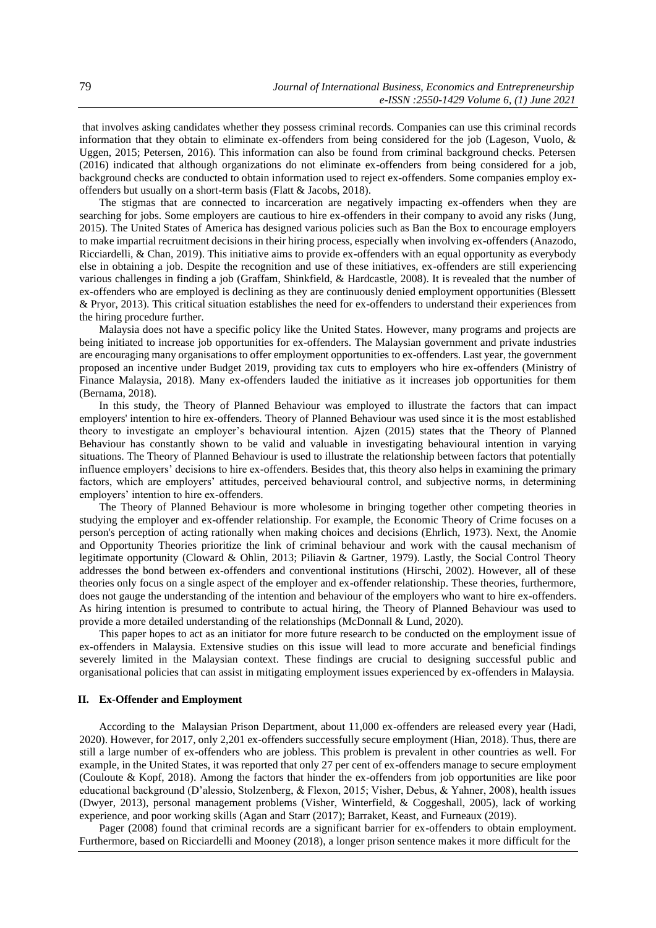that involves asking candidates whether they possess criminal records. Companies can use this criminal records information that they obtain to eliminate ex-offenders from being considered for the job (Lageson, Vuolo, & Uggen, 2015; Petersen, 2016). This information can also be found from criminal background checks. Petersen (2016) indicated that although organizations do not eliminate ex-offenders from being considered for a job, background checks are conducted to obtain information used to reject ex-offenders. Some companies employ exoffenders but usually on a short-term basis (Flatt & Jacobs, 2018).

The stigmas that are connected to incarceration are negatively impacting ex-offenders when they are searching for jobs. Some employers are cautious to hire ex-offenders in their company to avoid any risks (Jung, 2015). The United States of America has designed various policies such as Ban the Box to encourage employers to make impartial recruitment decisions in their hiring process, especially when involving ex-offenders (Anazodo, Ricciardelli, & Chan, 2019). This initiative aims to provide ex-offenders with an equal opportunity as everybody else in obtaining a job. Despite the recognition and use of these initiatives, ex-offenders are still experiencing various challenges in finding a job (Graffam, Shinkfield, & Hardcastle, 2008). It is revealed that the number of ex-offenders who are employed is declining as they are continuously denied employment opportunities (Blessett & Pryor, 2013). This critical situation establishes the need for ex-offenders to understand their experiences from the hiring procedure further.

Malaysia does not have a specific policy like the United States. However, many programs and projects are being initiated to increase job opportunities for ex-offenders. The Malaysian government and private industries are encouraging many organisations to offer employment opportunities to ex-offenders. Last year, the government proposed an incentive under Budget 2019, providing tax cuts to employers who hire ex-offenders (Ministry of Finance Malaysia, 2018). Many ex-offenders lauded the initiative as it increases job opportunities for them (Bernama, 2018).

In this study, the Theory of Planned Behaviour was employed to illustrate the factors that can impact employers' intention to hire ex-offenders. Theory of Planned Behaviour was used since it is the most established theory to investigate an employer's behavioural intention. Ajzen (2015) states that the Theory of Planned Behaviour has constantly shown to be valid and valuable in investigating behavioural intention in varying situations. The Theory of Planned Behaviour is used to illustrate the relationship between factors that potentially influence employers' decisions to hire ex-offenders. Besides that, this theory also helps in examining the primary factors, which are employers' attitudes, perceived behavioural control, and subjective norms, in determining employers' intention to hire ex-offenders.

The Theory of Planned Behaviour is more wholesome in bringing together other competing theories in studying the employer and ex-offender relationship. For example, the Economic Theory of Crime focuses on a person's perception of acting rationally when making choices and decisions (Ehrlich, 1973). Next, the Anomie and Opportunity Theories prioritize the link of criminal behaviour and work with the causal mechanism of legitimate opportunity (Cloward & Ohlin, 2013; Piliavin & Gartner, 1979). Lastly, the Social Control Theory addresses the bond between ex-offenders and conventional institutions (Hirschi, 2002). However, all of these theories only focus on a single aspect of the employer and ex-offender relationship. These theories, furthermore, does not gauge the understanding of the intention and behaviour of the employers who want to hire ex-offenders. As hiring intention is presumed to contribute to actual hiring, the Theory of Planned Behaviour was used to provide a more detailed understanding of the relationships (McDonnall & Lund, 2020).

This paper hopes to act as an initiator for more future research to be conducted on the employment issue of ex-offenders in Malaysia. Extensive studies on this issue will lead to more accurate and beneficial findings severely limited in the Malaysian context. These findings are crucial to designing successful public and organisational policies that can assist in mitigating employment issues experienced by ex-offenders in Malaysia.

## **II. Ex-Offender and Employment**

According to the Malaysian Prison Department, about 11,000 ex-offenders are released every year (Hadi, 2020). However, for 2017, only 2,201 ex-offenders successfully secure employment (Hian, 2018). Thus, there are still a large number of ex-offenders who are jobless. This problem is prevalent in other countries as well. For example, in the United States, it was reported that only 27 per cent of ex-offenders manage to secure employment (Couloute & Kopf, 2018). Among the factors that hinder the ex-offenders from job opportunities are like poor educational background (D'alessio, Stolzenberg, & Flexon, 2015; Visher, Debus, & Yahner, 2008), health issues (Dwyer, 2013), personal management problems (Visher, Winterfield, & Coggeshall, 2005), lack of working experience, and poor working skills (Agan and Starr (2017); Barraket, Keast, and Furneaux (2019).

Pager (2008) found that criminal records are a significant barrier for ex-offenders to obtain employment. Furthermore, based on Ricciardelli and Mooney (2018), a longer prison sentence makes it more difficult for the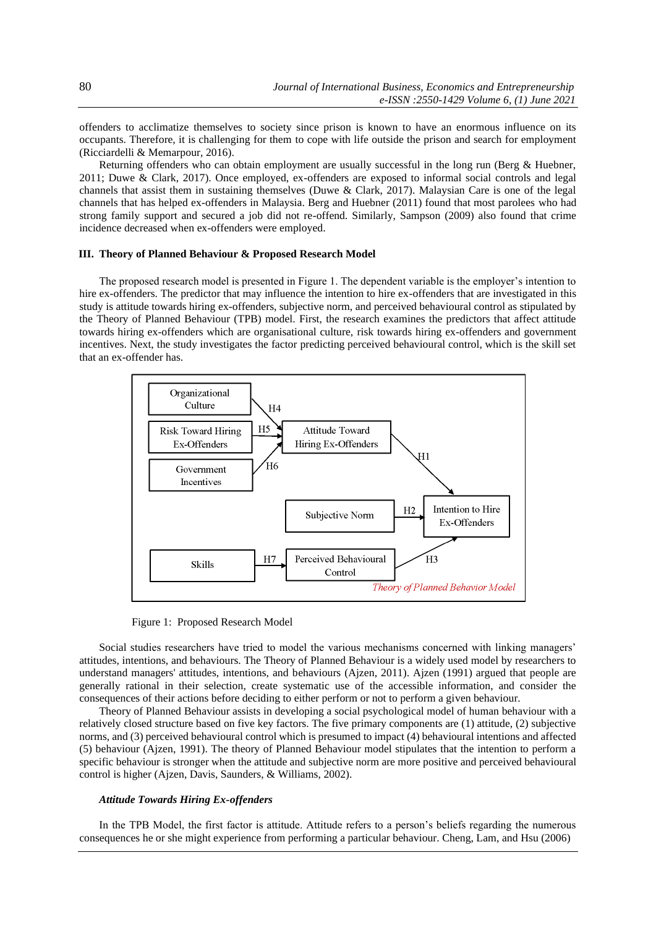offenders to acclimatize themselves to society since prison is known to have an enormous influence on its occupants. Therefore, it is challenging for them to cope with life outside the prison and search for employment (Ricciardelli & Memarpour, 2016).

Returning offenders who can obtain employment are usually successful in the long run (Berg & Huebner, 2011; Duwe & Clark, 2017). Once employed, ex-offenders are exposed to informal social controls and legal channels that assist them in sustaining themselves (Duwe & Clark, 2017). Malaysian Care is one of the legal channels that has helped ex-offenders in Malaysia. Berg and Huebner (2011) found that most parolees who had strong family support and secured a job did not re-offend. Similarly, Sampson (2009) also found that crime incidence decreased when ex-offenders were employed.

# **III. Theory of Planned Behaviour & Proposed Research Model**

The proposed research model is presented in Figure 1. The dependent variable is the employer's intention to hire ex-offenders. The predictor that may influence the intention to hire ex-offenders that are investigated in this study is attitude towards hiring ex-offenders, subjective norm, and perceived behavioural control as stipulated by the Theory of Planned Behaviour (TPB) model. First, the research examines the predictors that affect attitude towards hiring ex-offenders which are organisational culture, risk towards hiring ex-offenders and government incentives. Next, the study investigates the factor predicting perceived behavioural control, which is the skill set that an ex-offender has.



Figure 1: Proposed Research Model

Social studies researchers have tried to model the various mechanisms concerned with linking managers' attitudes, intentions, and behaviours. The Theory of Planned Behaviour is a widely used model by researchers to understand managers' attitudes, intentions, and behaviours (Ajzen, 2011). Ajzen (1991) argued that people are generally rational in their selection, create systematic use of the accessible information, and consider the consequences of their actions before deciding to either perform or not to perform a given behaviour.

Theory of Planned Behaviour assists in developing a social psychological model of human behaviour with a relatively closed structure based on five key factors. The five primary components are (1) attitude, (2) subjective norms, and (3) perceived behavioural control which is presumed to impact (4) behavioural intentions and affected (5) behaviour (Ajzen, 1991). The theory of Planned Behaviour model stipulates that the intention to perform a specific behaviour is stronger when the attitude and subjective norm are more positive and perceived behavioural control is higher (Ajzen, Davis, Saunders, & Williams, 2002).

# *Attitude Towards Hiring Ex-offenders*

In the TPB Model, the first factor is attitude. Attitude refers to a person's beliefs regarding the numerous consequences he or she might experience from performing a particular behaviour. Cheng, Lam, and Hsu (2006)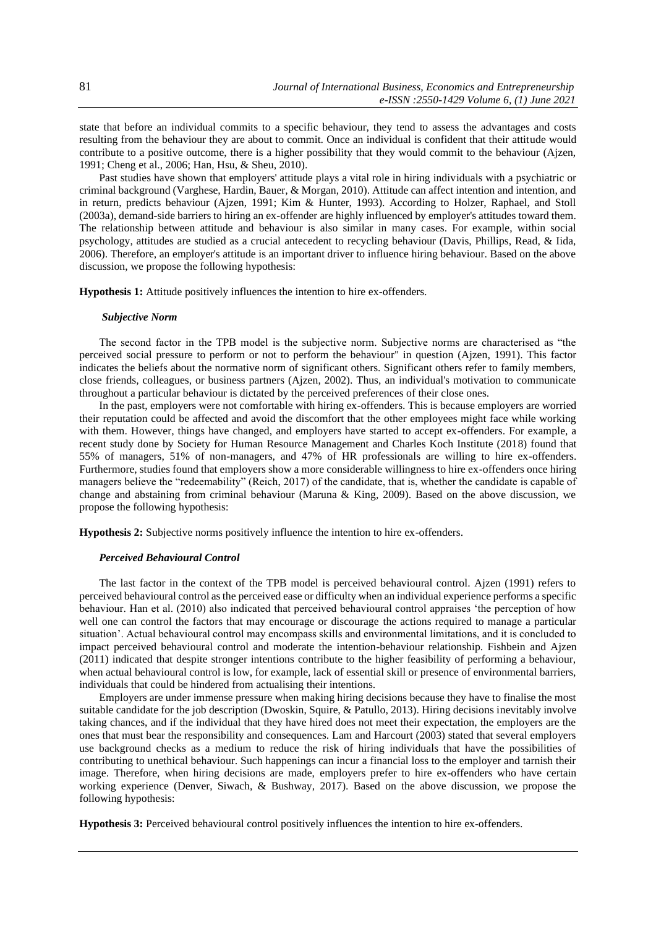state that before an individual commits to a specific behaviour, they tend to assess the advantages and costs resulting from the behaviour they are about to commit. Once an individual is confident that their attitude would contribute to a positive outcome, there is a higher possibility that they would commit to the behaviour (Ajzen, 1991; Cheng et al., 2006; Han, Hsu, & Sheu, 2010).

Past studies have shown that employers' attitude plays a vital role in hiring individuals with a psychiatric or criminal background (Varghese, Hardin, Bauer, & Morgan, 2010). Attitude can affect intention and intention, and in return, predicts behaviour (Ajzen, 1991; Kim & Hunter, 1993). According to Holzer, Raphael, and Stoll (2003a), demand-side barriers to hiring an ex-offender are highly influenced by employer's attitudes toward them. The relationship between attitude and behaviour is also similar in many cases. For example, within social psychology, attitudes are studied as a crucial antecedent to recycling behaviour (Davis, Phillips, Read, & Iida, 2006). Therefore, an employer's attitude is an important driver to influence hiring behaviour. Based on the above discussion, we propose the following hypothesis:

**Hypothesis 1:** Attitude positively influences the intention to hire ex-offenders.

#### *Subjective Norm*

The second factor in the TPB model is the subjective norm. Subjective norms are characterised as "the perceived social pressure to perform or not to perform the behaviour" in question (Ajzen, 1991). This factor indicates the beliefs about the normative norm of significant others. Significant others refer to family members, close friends, colleagues, or business partners (Ajzen, 2002). Thus, an individual's motivation to communicate throughout a particular behaviour is dictated by the perceived preferences of their close ones.

In the past, employers were not comfortable with hiring ex-offenders. This is because employers are worried their reputation could be affected and avoid the discomfort that the other employees might face while working with them. However, things have changed, and employers have started to accept ex-offenders. For example, a recent study done by Society for Human Resource Management and Charles Koch Institute (2018) found that 55% of managers, 51% of non-managers, and 47% of HR professionals are willing to hire ex-offenders. Furthermore, studies found that employers show a more considerable willingness to hire ex-offenders once hiring managers believe the "redeemability" (Reich, 2017) of the candidate, that is, whether the candidate is capable of change and abstaining from criminal behaviour (Maruna & King, 2009). Based on the above discussion, we propose the following hypothesis:

**Hypothesis 2:** Subjective norms positively influence the intention to hire ex-offenders.

#### *Perceived Behavioural Control*

The last factor in the context of the TPB model is perceived behavioural control. Ajzen (1991) refers to perceived behavioural control as the perceived ease or difficulty when an individual experience performs a specific behaviour. Han et al. (2010) also indicated that perceived behavioural control appraises 'the perception of how well one can control the factors that may encourage or discourage the actions required to manage a particular situation'. Actual behavioural control may encompass skills and environmental limitations, and it is concluded to impact perceived behavioural control and moderate the intention-behaviour relationship. Fishbein and Ajzen (2011) indicated that despite stronger intentions contribute to the higher feasibility of performing a behaviour, when actual behavioural control is low, for example, lack of essential skill or presence of environmental barriers, individuals that could be hindered from actualising their intentions.

Employers are under immense pressure when making hiring decisions because they have to finalise the most suitable candidate for the job description (Dwoskin, Squire, & Patullo, 2013). Hiring decisions inevitably involve taking chances, and if the individual that they have hired does not meet their expectation, the employers are the ones that must bear the responsibility and consequences. Lam and Harcourt (2003) stated that several employers use background checks as a medium to reduce the risk of hiring individuals that have the possibilities of contributing to unethical behaviour. Such happenings can incur a financial loss to the employer and tarnish their image. Therefore, when hiring decisions are made, employers prefer to hire ex-offenders who have certain working experience (Denver, Siwach, & Bushway, 2017). Based on the above discussion, we propose the following hypothesis:

**Hypothesis 3:** Perceived behavioural control positively influences the intention to hire ex-offenders.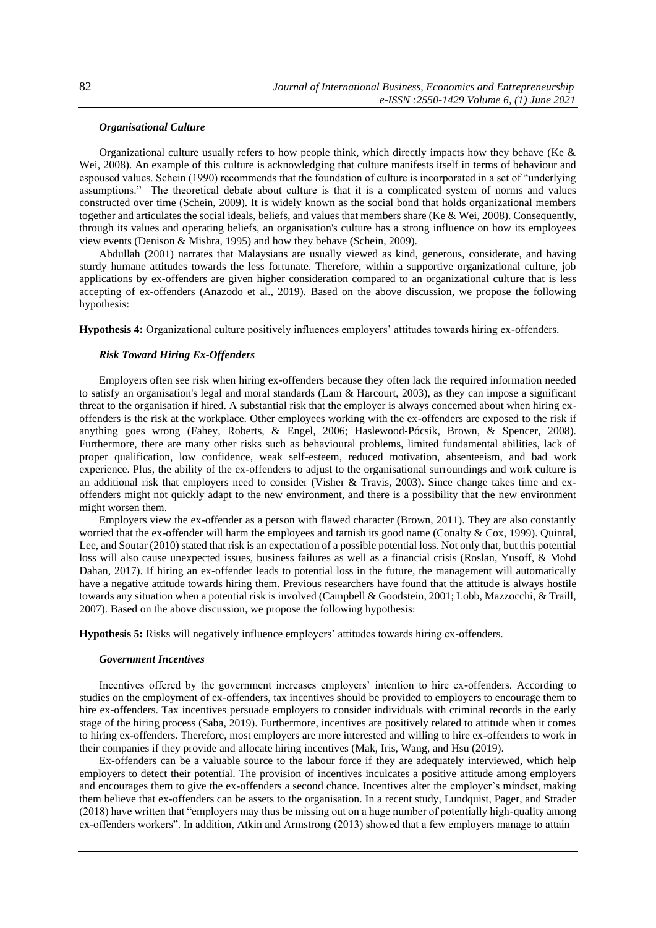# *Organisational Culture*

Organizational culture usually refers to how people think, which directly impacts how they behave (Ke  $\&$ Wei, 2008). An example of this culture is acknowledging that culture manifests itself in terms of behaviour and espoused values. Schein (1990) recommends that the foundation of culture is incorporated in a set of "underlying assumptions." The theoretical debate about culture is that it is a complicated system of norms and values constructed over time (Schein, 2009). It is widely known as the social bond that holds organizational members together and articulates the social ideals, beliefs, and values that members share (Ke & Wei, 2008). Consequently, through its values and operating beliefs, an organisation's culture has a strong influence on how its employees view events (Denison & Mishra, 1995) and how they behave (Schein, 2009).

Abdullah (2001) narrates that Malaysians are usually viewed as kind, generous, considerate, and having sturdy humane attitudes towards the less fortunate. Therefore, within a supportive organizational culture, job applications by ex-offenders are given higher consideration compared to an organizational culture that is less accepting of ex-offenders (Anazodo et al., 2019). Based on the above discussion, we propose the following hypothesis:

**Hypothesis 4:** Organizational culture positively influences employers' attitudes towards hiring ex-offenders.

# *Risk Toward Hiring Ex-Offenders*

Employers often see risk when hiring ex-offenders because they often lack the required information needed to satisfy an organisation's legal and moral standards (Lam & Harcourt, 2003), as they can impose a significant threat to the organisation if hired. A substantial risk that the employer is always concerned about when hiring exoffenders is the risk at the workplace. Other employees working with the ex-offenders are exposed to the risk if anything goes wrong (Fahey, Roberts, & Engel, 2006; Haslewood‐Pócsik, Brown, & Spencer, 2008). Furthermore, there are many other risks such as behavioural problems, limited fundamental abilities, lack of proper qualification, low confidence, weak self-esteem, reduced motivation, absenteeism, and bad work experience. Plus, the ability of the ex-offenders to adjust to the organisational surroundings and work culture is an additional risk that employers need to consider (Visher & Travis, 2003). Since change takes time and exoffenders might not quickly adapt to the new environment, and there is a possibility that the new environment might worsen them.

Employers view the ex-offender as a person with flawed character (Brown, 2011). They are also constantly worried that the ex-offender will harm the employees and tarnish its good name (Conalty & Cox, 1999). Quintal, Lee, and Soutar (2010) stated that risk is an expectation of a possible potential loss. Not only that, but this potential loss will also cause unexpected issues, business failures as well as a financial crisis (Roslan, Yusoff, & Mohd Dahan, 2017). If hiring an ex-offender leads to potential loss in the future, the management will automatically have a negative attitude towards hiring them. Previous researchers have found that the attitude is always hostile towards any situation when a potential risk is involved (Campbell & Goodstein, 2001; Lobb, Mazzocchi, & Traill, 2007). Based on the above discussion, we propose the following hypothesis:

**Hypothesis 5:** Risks will negatively influence employers' attitudes towards hiring ex-offenders.

# *Government Incentives*

Incentives offered by the government increases employers' intention to hire ex-offenders. According to studies on the employment of ex-offenders, tax incentives should be provided to employers to encourage them to hire ex-offenders. Tax incentives persuade employers to consider individuals with criminal records in the early stage of the hiring process (Saba, 2019). Furthermore, incentives are positively related to attitude when it comes to hiring ex-offenders. Therefore, most employers are more interested and willing to hire ex-offenders to work in their companies if they provide and allocate hiring incentives (Mak, Iris, Wang, and Hsu (2019).

Ex-offenders can be a valuable source to the labour force if they are adequately interviewed, which help employers to detect their potential. The provision of incentives inculcates a positive attitude among employers and encourages them to give the ex-offenders a second chance. Incentives alter the employer's mindset, making them believe that ex-offenders can be assets to the organisation. In a recent study, Lundquist, Pager, and Strader (2018) have written that "employers may thus be missing out on a huge number of potentially high-quality among ex-offenders workers". In addition, Atkin and Armstrong (2013) showed that a few employers manage to attain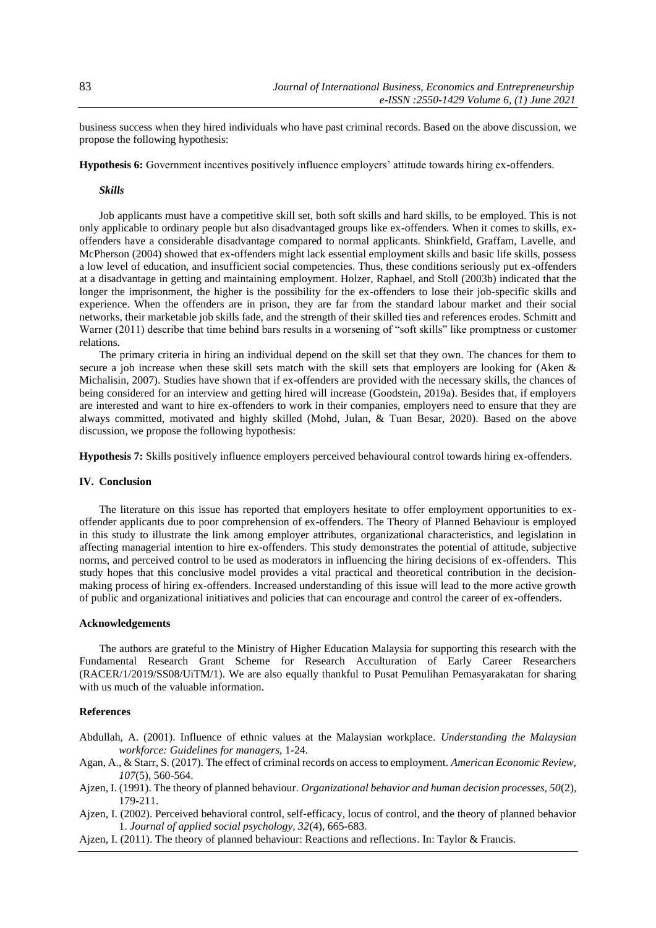business success when they hired individuals who have past criminal records. Based on the above discussion, we propose the following hypothesis:

**Hypothesis 6:** Government incentives positively influence employers' attitude towards hiring ex-offenders.

# *Skills*

Job applicants must have a competitive skill set, both soft skills and hard skills, to be employed. This is not only applicable to ordinary people but also disadvantaged groups like ex-offenders. When it comes to skills, exoffenders have a considerable disadvantage compared to normal applicants. Shinkfield, Graffam, Lavelle, and McPherson (2004) showed that ex-offenders might lack essential employment skills and basic life skills, possess a low level of education, and insufficient social competencies. Thus, these conditions seriously put ex-offenders at a disadvantage in getting and maintaining employment. Holzer, Raphael, and Stoll (2003b) indicated that the longer the imprisonment, the higher is the possibility for the ex-offenders to lose their job-specific skills and experience. When the offenders are in prison, they are far from the standard labour market and their social networks, their marketable job skills fade, and the strength of their skilled ties and references erodes. Schmitt and Warner (2011) describe that time behind bars results in a worsening of "soft skills" like promptness or customer relations.

The primary criteria in hiring an individual depend on the skill set that they own. The chances for them to secure a job increase when these skill sets match with the skill sets that employers are looking for (Aken & Michalisin, 2007). Studies have shown that if ex-offenders are provided with the necessary skills, the chances of being considered for an interview and getting hired will increase (Goodstein, 2019a). Besides that, if employers are interested and want to hire ex-offenders to work in their companies, employers need to ensure that they are always committed, motivated and highly skilled (Mohd, Julan, & Tuan Besar, 2020). Based on the above discussion, we propose the following hypothesis:

**Hypothesis 7:** Skills positively influence employers perceived behavioural control towards hiring ex-offenders.

### **IV. Conclusion**

The literature on this issue has reported that employers hesitate to offer employment opportunities to exoffender applicants due to poor comprehension of ex-offenders. The Theory of Planned Behaviour is employed in this study to illustrate the link among employer attributes, organizational characteristics, and legislation in affecting managerial intention to hire ex-offenders. This study demonstrates the potential of attitude, subjective norms, and perceived control to be used as moderators in influencing the hiring decisions of ex-offenders. This study hopes that this conclusive model provides a vital practical and theoretical contribution in the decisionmaking process of hiring ex-offenders. Increased understanding of this issue will lead to the more active growth of public and organizational initiatives and policies that can encourage and control the career of ex-offenders.

## **Acknowledgements**

The authors are grateful to the Ministry of Higher Education Malaysia for supporting this research with the Fundamental Research Grant Scheme for Research Acculturation of Early Career Researchers (RACER/1/2019/SS08/UiTM/1). We are also equally thankful to Pusat Pemulihan Pemasyarakatan for sharing with us much of the valuable information.

## **References**

Abdullah, A. (2001). Influence of ethnic values at the Malaysian workplace. *Understanding the Malaysian workforce: Guidelines for managers*, 1-24.

- Agan, A., & Starr, S. (2017). The effect of criminal records on access to employment. *American Economic Review, 107*(5), 560-564.
- Ajzen, I. (1991). The theory of planned behaviour. *Organizational behavior and human decision processes, 50*(2), 179-211.
- Ajzen, I. (2002). Perceived behavioral control, self‐efficacy, locus of control, and the theory of planned behavior 1. *Journal of applied social psychology, 32*(4), 665-683.
- Ajzen, I. (2011). The theory of planned behaviour: Reactions and reflections. In: Taylor & Francis.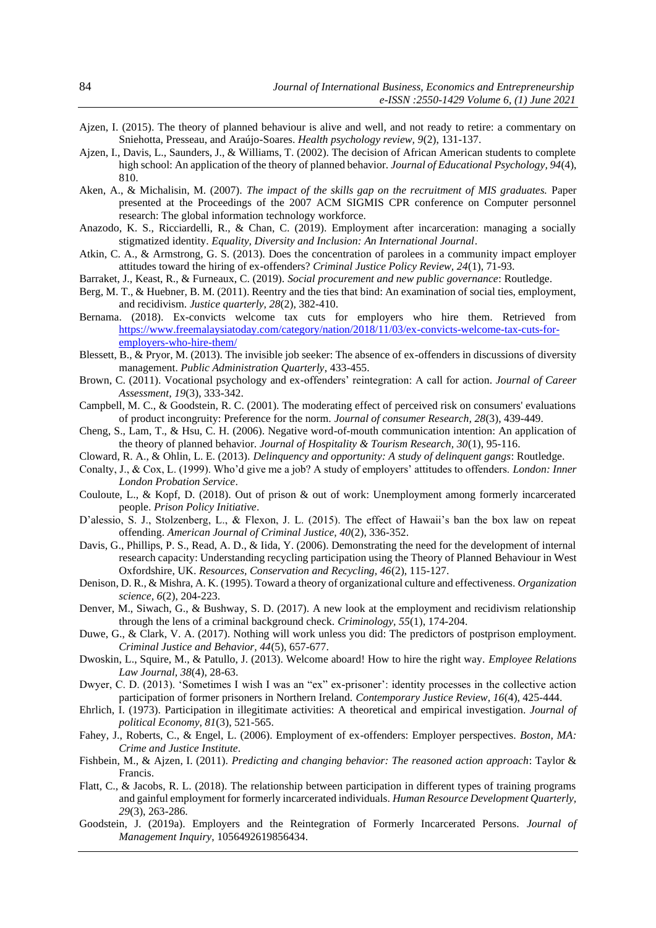- Ajzen, I. (2015). The theory of planned behaviour is alive and well, and not ready to retire: a commentary on Sniehotta, Presseau, and Araújo-Soares. *Health psychology review, 9*(2), 131-137.
- Ajzen, I., Davis, L., Saunders, J., & Williams, T. (2002). The decision of African American students to complete high school: An application of the theory of planned behavior. *Journal of Educational Psychology, 94*(4), 810.
- Aken, A., & Michalisin, M. (2007). *The impact of the skills gap on the recruitment of MIS graduates.* Paper presented at the Proceedings of the 2007 ACM SIGMIS CPR conference on Computer personnel research: The global information technology workforce.
- Anazodo, K. S., Ricciardelli, R., & Chan, C. (2019). Employment after incarceration: managing a socially stigmatized identity. *Equality, Diversity and Inclusion: An International Journal*.
- Atkin, C. A., & Armstrong, G. S. (2013). Does the concentration of parolees in a community impact employer attitudes toward the hiring of ex-offenders? *Criminal Justice Policy Review, 24*(1), 71-93.
- Barraket, J., Keast, R., & Furneaux, C. (2019). *Social procurement and new public governance*: Routledge.
- Berg, M. T., & Huebner, B. M. (2011). Reentry and the ties that bind: An examination of social ties, employment, and recidivism. *Justice quarterly, 28*(2), 382-410.
- Bernama. (2018). Ex-convicts welcome tax cuts for employers who hire them. Retrieved from [https://www.freemalaysiatoday.com/category/nation/2018/11/03/ex-convicts-welcome-tax-cuts-for](https://www.freemalaysiatoday.com/category/nation/2018/11/03/ex-convicts-welcome-tax-cuts-for-employers-who-hire-them/)[employers-who-hire-them/](https://www.freemalaysiatoday.com/category/nation/2018/11/03/ex-convicts-welcome-tax-cuts-for-employers-who-hire-them/)
- Blessett, B., & Pryor, M. (2013). The invisible job seeker: The absence of ex-offenders in discussions of diversity management. *Public Administration Quarterly*, 433-455.
- Brown, C. (2011). Vocational psychology and ex-offenders' reintegration: A call for action. *Journal of Career Assessment, 19*(3), 333-342.
- Campbell, M. C., & Goodstein, R. C. (2001). The moderating effect of perceived risk on consumers' evaluations of product incongruity: Preference for the norm. *Journal of consumer Research, 28*(3), 439-449.
- Cheng, S., Lam, T., & Hsu, C. H. (2006). Negative word-of-mouth communication intention: An application of the theory of planned behavior. *Journal of Hospitality & Tourism Research, 30*(1), 95-116.
- Cloward, R. A., & Ohlin, L. E. (2013). *Delinquency and opportunity: A study of delinquent gangs*: Routledge.
- Conalty, J., & Cox, L. (1999). Who'd give me a job? A study of employers' attitudes to offenders. *London: Inner London Probation Service*.
- Couloute, L., & Kopf, D. (2018). Out of prison & out of work: Unemployment among formerly incarcerated people. *Prison Policy Initiative*.
- D'alessio, S. J., Stolzenberg, L., & Flexon, J. L. (2015). The effect of Hawaii's ban the box law on repeat offending. *American Journal of Criminal Justice, 40*(2), 336-352.
- Davis, G., Phillips, P. S., Read, A. D., & Iida, Y. (2006). Demonstrating the need for the development of internal research capacity: Understanding recycling participation using the Theory of Planned Behaviour in West Oxfordshire, UK. *Resources, Conservation and Recycling, 46*(2), 115-127.
- Denison, D. R., & Mishra, A. K. (1995). Toward a theory of organizational culture and effectiveness. *Organization science, 6*(2), 204-223.
- Denver, M., Siwach, G., & Bushway, S. D. (2017). A new look at the employment and recidivism relationship through the lens of a criminal background check. *Criminology, 55*(1), 174-204.
- Duwe, G., & Clark, V. A. (2017). Nothing will work unless you did: The predictors of postprison employment. *Criminal Justice and Behavior, 44*(5), 657-677.
- Dwoskin, L., Squire, M., & Patullo, J. (2013). Welcome aboard! How to hire the right way. *Employee Relations Law Journal, 38*(4), 28-63.
- Dwyer, C. D. (2013). 'Sometimes I wish I was an "ex" ex-prisoner': identity processes in the collective action participation of former prisoners in Northern Ireland. *Contemporary Justice Review, 16*(4), 425-444.
- Ehrlich, I. (1973). Participation in illegitimate activities: A theoretical and empirical investigation. *Journal of political Economy, 81*(3), 521-565.
- Fahey, J., Roberts, C., & Engel, L. (2006). Employment of ex-offenders: Employer perspectives. *Boston, MA: Crime and Justice Institute*.
- Fishbein, M., & Ajzen, I. (2011). *Predicting and changing behavior: The reasoned action approach*: Taylor & Francis.
- Flatt, C., & Jacobs, R. L. (2018). The relationship between participation in different types of training programs and gainful employment for formerly incarcerated individuals. *Human Resource Development Quarterly, 29*(3), 263-286.
- Goodstein, J. (2019a). Employers and the Reintegration of Formerly Incarcerated Persons. *Journal of Management Inquiry*, 1056492619856434.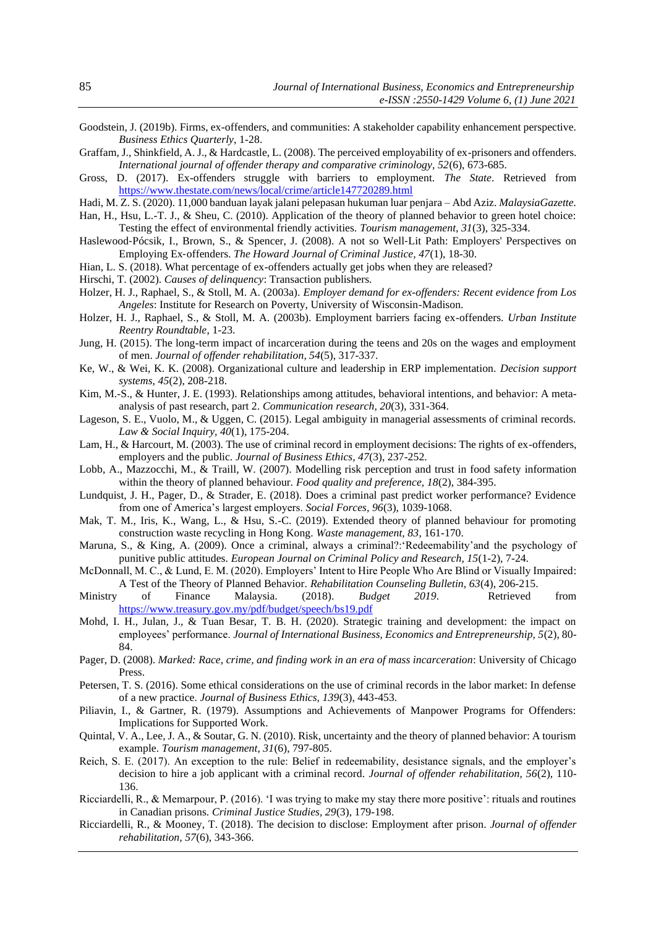- Goodstein, J. (2019b). Firms, ex-offenders, and communities: A stakeholder capability enhancement perspective. *Business Ethics Quarterly*, 1-28.
- Graffam, J., Shinkfield, A. J., & Hardcastle, L. (2008). The perceived employability of ex-prisoners and offenders. *International journal of offender therapy and comparative criminology, 52*(6), 673-685.
- Gross, D. (2017). Ex-offenders struggle with barriers to employment. *The State*. Retrieved from <https://www.thestate.com/news/local/crime/article147720289.html>
- Hadi, M. Z. S. (2020). 11,000 banduan layak jalani pelepasan hukuman luar penjara Abd Aziz. *MalaysiaGazette.*
- Han, H., Hsu, L.-T. J., & Sheu, C. (2010). Application of the theory of planned behavior to green hotel choice: Testing the effect of environmental friendly activities. *Tourism management, 31*(3), 325-334.
- Haslewood-Pócsik, I., Brown, S., & Spencer, J. (2008). A not so Well-Lit Path: Employers' Perspectives on Employing Ex‐offenders. *The Howard Journal of Criminal Justice, 47*(1), 18-30.
- Hian, L. S. (2018). What percentage of ex-offenders actually get jobs when they are released?
- Hirschi, T. (2002). *Causes of delinquency*: Transaction publishers.
- Holzer, H. J., Raphael, S., & Stoll, M. A. (2003a). *Employer demand for ex-offenders: Recent evidence from Los Angeles*: Institute for Research on Poverty, University of Wisconsin-Madison.
- Holzer, H. J., Raphael, S., & Stoll, M. A. (2003b). Employment barriers facing ex-offenders. *Urban Institute Reentry Roundtable*, 1-23.
- Jung, H. (2015). The long-term impact of incarceration during the teens and 20s on the wages and employment of men. *Journal of offender rehabilitation, 54*(5), 317-337.
- Ke, W., & Wei, K. K. (2008). Organizational culture and leadership in ERP implementation. *Decision support systems, 45*(2), 208-218.
- Kim, M.-S., & Hunter, J. E. (1993). Relationships among attitudes, behavioral intentions, and behavior: A metaanalysis of past research, part 2. *Communication research, 20*(3), 331-364.
- Lageson, S. E., Vuolo, M., & Uggen, C. (2015). Legal ambiguity in managerial assessments of criminal records. *Law & Social Inquiry, 40*(1), 175-204.
- Lam, H., & Harcourt, M. (2003). The use of criminal record in employment decisions: The rights of ex-offenders, employers and the public. *Journal of Business Ethics, 47*(3), 237-252.
- Lobb, A., Mazzocchi, M., & Traill, W. (2007). Modelling risk perception and trust in food safety information within the theory of planned behaviour. *Food quality and preference, 18*(2), 384-395.
- Lundquist, J. H., Pager, D., & Strader, E. (2018). Does a criminal past predict worker performance? Evidence from one of America's largest employers. *Social Forces, 96*(3), 1039-1068.
- Mak, T. M., Iris, K., Wang, L., & Hsu, S.-C. (2019). Extended theory of planned behaviour for promoting construction waste recycling in Hong Kong. *Waste management, 83*, 161-170.
- Maruna, S., & King, A. (2009). Once a criminal, always a criminal?: Redeemability'and the psychology of punitive public attitudes. *European Journal on Criminal Policy and Research, 15*(1-2), 7-24.
- McDonnall, M. C., & Lund, E. M. (2020). Employers' Intent to Hire People Who Are Blind or Visually Impaired: A Test of the Theory of Planned Behavior. *Rehabilitation Counseling Bulletin, 63*(4), 206-215.
- Ministry of Finance Malaysia. (2018). *Budget 2019*. Retrieved from <https://www.treasury.gov.my/pdf/budget/speech/bs19.pdf>
- Mohd, I. H., Julan, J., & Tuan Besar, T. B. H. (2020). Strategic training and development: the impact on employees' performance. *Journal of International Business, Economics and Entrepreneurship, 5*(2), 80- 84.
- Pager, D. (2008). *Marked: Race, crime, and finding work in an era of mass incarceration*: University of Chicago Press.
- Petersen, T. S. (2016). Some ethical considerations on the use of criminal records in the labor market: In defense of a new practice. *Journal of Business Ethics, 139*(3), 443-453.
- Piliavin, I., & Gartner, R. (1979). Assumptions and Achievements of Manpower Programs for Offenders: Implications for Supported Work.
- Quintal, V. A., Lee, J. A., & Soutar, G. N. (2010). Risk, uncertainty and the theory of planned behavior: A tourism example. *Tourism management, 31*(6), 797-805.
- Reich, S. E. (2017). An exception to the rule: Belief in redeemability, desistance signals, and the employer's decision to hire a job applicant with a criminal record. *Journal of offender rehabilitation, 56*(2), 110- 136.
- Ricciardelli, R., & Memarpour, P. (2016). 'I was trying to make my stay there more positive': rituals and routines in Canadian prisons. *Criminal Justice Studies, 29*(3), 179-198.
- Ricciardelli, R., & Mooney, T. (2018). The decision to disclose: Employment after prison. *Journal of offender rehabilitation, 57*(6), 343-366.